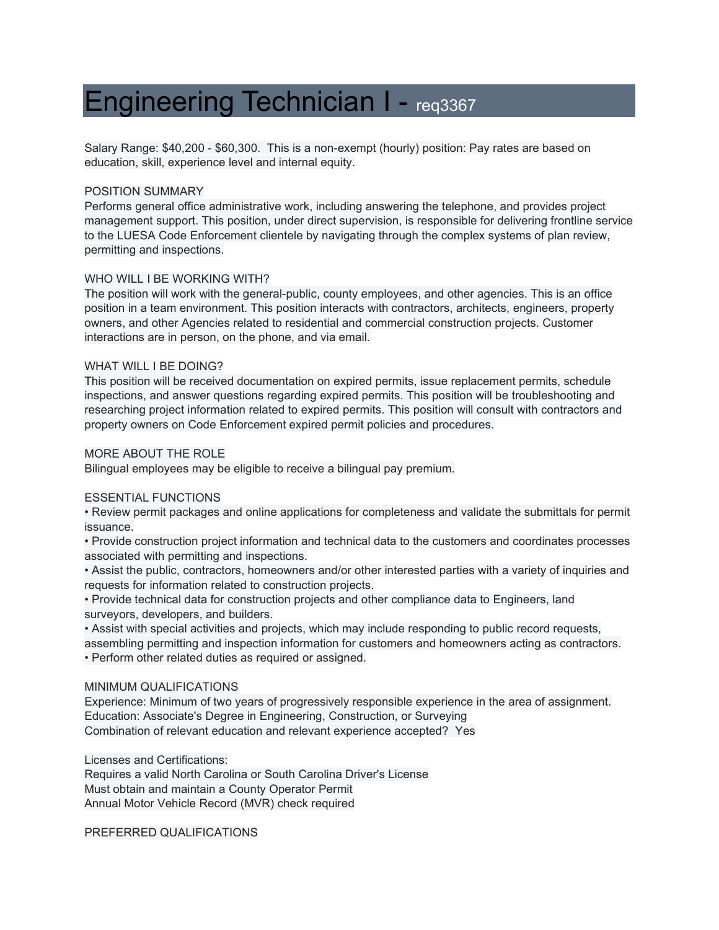# Engineering Technician I - req3367

Salary Range: \$40,200 - \$60,300. This is a non-exempt (hourly) position: Pay rates are based on education, skill, experience level and internal equity.

## POSITION SUMMARY

Performs general office administrative work, including answering the telephone, and provides project management support. This position, under direct supervision, is responsible for delivering frontline service to the LUESA Code Enforcement clientele by navigating through the complex systems of plan review, permitting and inspections.

# WHO WILL I BE WORKING WITH?

The position will work with the general-public, county employees, and other agencies. This is an office position in a team environment. This position interacts with contractors, architects, engineers, property owners, and other Agencies related to residential and commercial construction projects. Customer interactions are in person, on the phone, and via email.

#### WHAT WILL I BE DOING?

This position will be received documentation on expired permits, issue replacement permits, schedule inspections, and answer questions regarding expired permits. This position will be troubleshooting and researching project information related to expired permits. This position will consult with contractors and property owners on Code Enforcement expired permit policies and procedures.

# MORE ABOUT THE ROLE

Bilingual employees may be eligible to receive a bilingual pay premium.

## ESSENTIAL FUNCTIONS

• Review permit packages and online applications for completeness and validate the submittals for permit issuance.

• Provide construction project information and technical data to the customers and coordinates processes associated with permitting and inspections.

• Assist the public, contractors, homeowners and/or other interested parties with a variety of inquiries and requests for information related to construction projects.

• Provide technical data for construction projects and other compliance data to Engineers, land surveyors, developers, and builders.

• Assist with special activities and projects, which may include responding to public record requests, assembling permitting and inspection information for customers and homeowners acting as contractors. • Perform other related duties as required or assigned.

#### MINIMUM QUALIFICATIONS

Experience: Minimum of two years of progressively responsible experience in the area of assignment. Education: Associate's Degree in Engineering, Construction, or Surveying Combination of relevant education and relevant experience accepted? Yes

Licenses and Certifications:

Requires a valid North Carolina or South Carolina Driver's License Must obtain and maintain a County Operator Permit Annual Motor Vehicle Record (MVR) check required

PREFERRED QUALIFICATIONS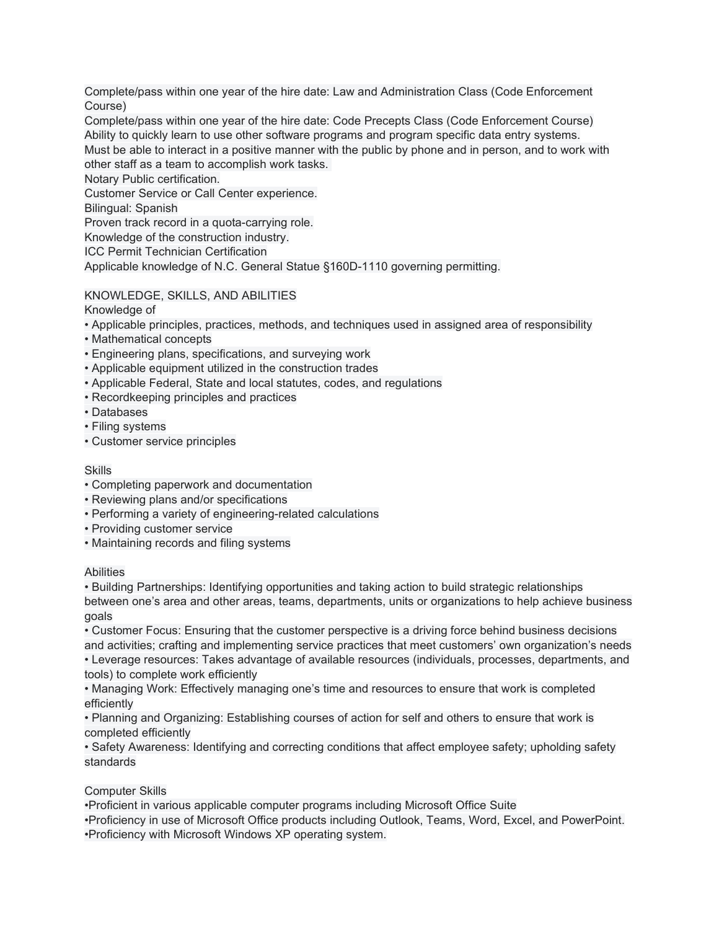Complete/pass within one year of the hire date: Law and Administration Class (Code Enforcement Course)

Complete/pass within one year of the hire date: Code Precepts Class (Code Enforcement Course) Ability to quickly learn to use other software programs and program specific data entry systems. Must be able to interact in a positive manner with the public by phone and in person, and to work with other staff as a team to accomplish work tasks.

Notary Public certification.

Customer Service or Call Center experience.

Bilingual: Spanish

Proven track record in a quota-carrying role.

Knowledge of the construction industry.

ICC Permit Technician Certification

Applicable knowledge of N.C. General Statue §160D-1110 governing permitting.

# KNOWLEDGE, SKILLS, AND ABILITIES

Knowledge of

- Applicable principles, practices, methods, and techniques used in assigned area of responsibility
- Mathematical concepts
- Engineering plans, specifications, and surveying work
- Applicable equipment utilized in the construction trades
- Applicable Federal, State and local statutes, codes, and regulations
- Recordkeeping principles and practices
- Databases
- Filing systems
- Customer service principles

# Skills

- Completing paperwork and documentation
- Reviewing plans and/or specifications
- Performing a variety of engineering-related calculations
- Providing customer service
- Maintaining records and filing systems

# Abilities

• Building Partnerships: Identifying opportunities and taking action to build strategic relationships between one's area and other areas, teams, departments, units or organizations to help achieve business goals

• Customer Focus: Ensuring that the customer perspective is a driving force behind business decisions and activities; crafting and implementing service practices that meet customers' own organization's needs • Leverage resources: Takes advantage of available resources (individuals, processes, departments, and tools) to complete work efficiently

• Managing Work: Effectively managing one's time and resources to ensure that work is completed efficiently

• Planning and Organizing: Establishing courses of action for self and others to ensure that work is completed efficiently

• Safety Awareness: Identifying and correcting conditions that affect employee safety; upholding safety standards

# Computer Skills

•Proficient in various applicable computer programs including Microsoft Office Suite •Proficiency in use of Microsoft Office products including Outlook, Teams, Word, Excel, and PowerPoint. •Proficiency with Microsoft Windows XP operating system.